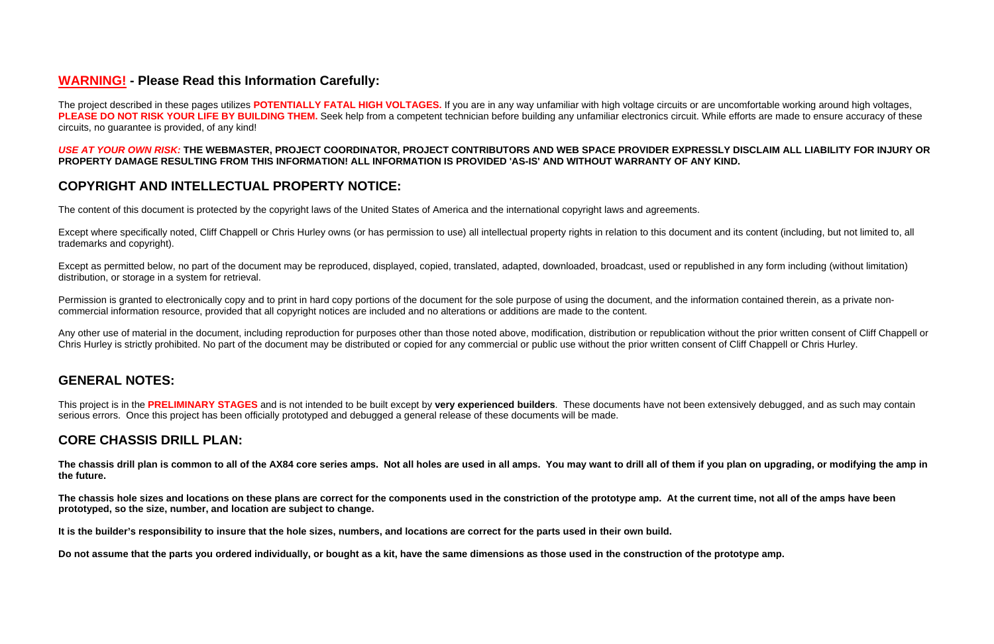# **WARNING! - Please Read this Information Carefully:**

The project described in these pages utilizes **POTENTIALLY FATAL HIGH VOLTAGES.** If you are in any way unfamiliar with high voltage circuits or are uncomfortable working around high voltages, PLEASE DO NOT RISK YOUR LIFE BY BUILDING THEM. Seek help from a competent technician before building any unfamiliar electronics circuit. While efforts are made to ensure accuracy of these circuits, no guarantee is provided, of any kind!

## *USE AT YOUR OWN RISK:* **THE WEBMASTER, PROJECT COORDINATOR, PROJECT CONTRIBUTORS AND WEB SPACE PROVIDER EXPRESSLY DISCLAIM ALL LIABILITY FOR INJURY OR PROPERTY DAMAGE RESULTING FROM THIS INFORMATION! ALL INFORMATION IS PROVIDED 'AS-IS' AND WITHOUT WARRANTY OF ANY KIND.**

# **COPYRIGHT AND INTELLECTUAL PROPERTY NOTICE:**

The content of this document is protected by the copyright laws of the United States of America and the international copyright laws and agreements.

Permission is granted to electronically copy and to print in hard copy portions of the document for the sole purpose of using the document, and the information contained therein, as a private noncommercial information resource, provided that all copyright notices are included and no alterations or additions are made to the content.

Except where specifically noted, Cliff Chappell or Chris Hurley owns (or has permission to use) all intellectual property rights in relation to this document and its content (including, but not limited to, all trademarks and copyright).

Any other use of material in the document, including reproduction for purposes other than those noted above, modification, distribution or republication without the prior written consent of Cliff Chappell or Chris Hurley is strictly prohibited. No part of the document may be distributed or copied for any commercial or public use without the prior written consent of Cliff Chappell or Chris Hurley.

Except as permitted below, no part of the document may be reproduced, displayed, copied, translated, adapted, downloaded, broadcast, used or republished in any form including (without limitation) distribution, or storage in a system for retrieval.

# **GENERAL NOTES:**

This project is in the **PRELIMINARY STAGES** and is not intended to be built except by **very experienced builders**. These documents have not been extensively debugged, and as such may contain serious errors. Once this project has been officially prototyped and debugged a general release of these documents will be made.

## **CORE CHASSIS DRILL PLAN:**

**The chassis drill plan is common to all of the AX84 core series amps. Not all holes are used in all amps. You may want to drill all of them if you plan on upgrading, or modifying the amp in the future.** 

**The chassis hole sizes and locations on these plans are correct for the components used in the constriction of the prototype amp. At the current time, not all of the amps have been prototyped, so the size, number, and location are subject to change.** 

**It is the builder's responsibility to insure that the hole sizes, numbers, and locations are correct for the parts used in their own build.** 

**Do not assume that the parts you ordered individually, or bought as a kit, have the same dimensions as those used in the construction of the prototype amp.**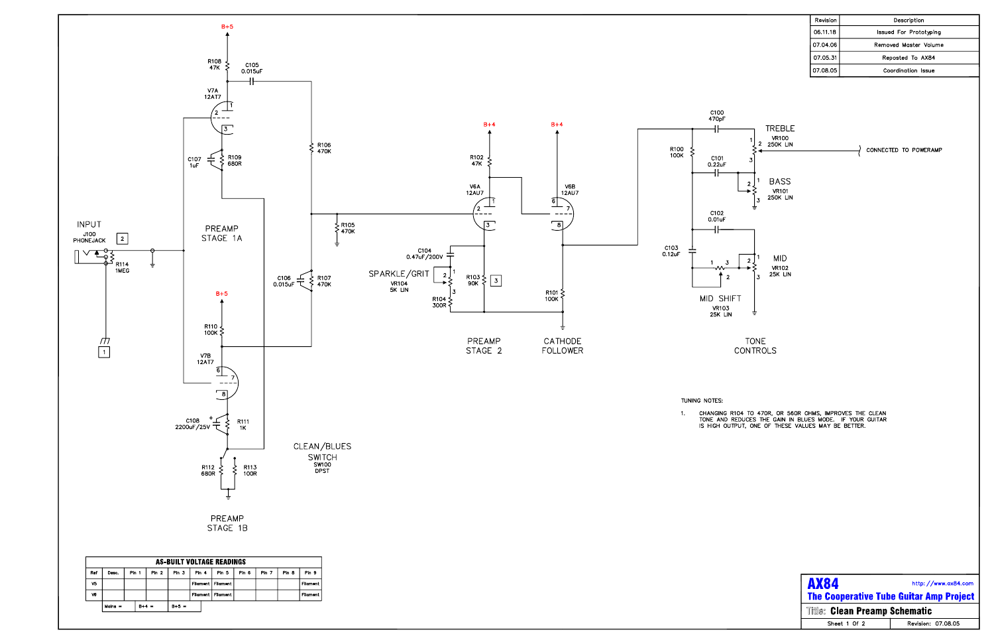

| Revision | Description            |
|----------|------------------------|
| 06.11.18 | Issued For Prototyping |
| 07.04.06 | Removed Master Volume  |
| 07.05.31 | Reposted To AX84       |
| 07.08.05 | Coordination Issue     |
|          |                        |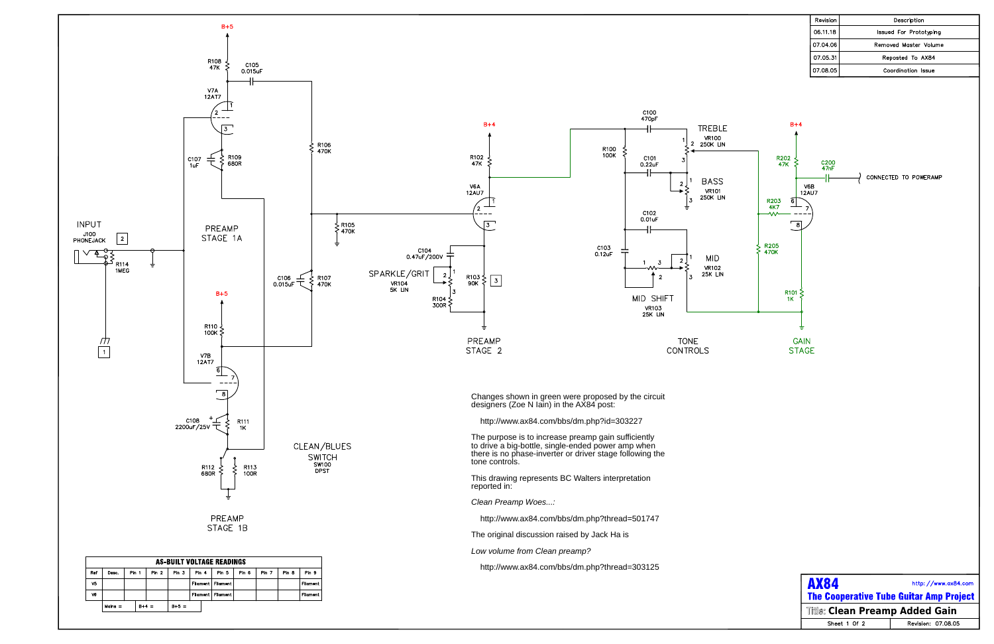

| Revision | Description            |
|----------|------------------------|
| 06.11.18 | Issued For Prototyping |
| 07.04.06 | Removed Master Volume  |
| 07.05.31 | Reposted To AX84       |
| 07.08.05 | Coordination Issue     |
|          |                        |